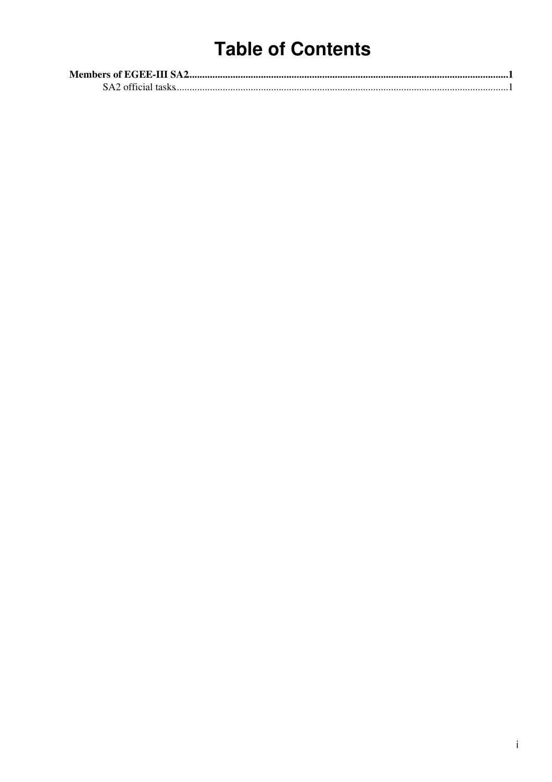## **Table of Contents**